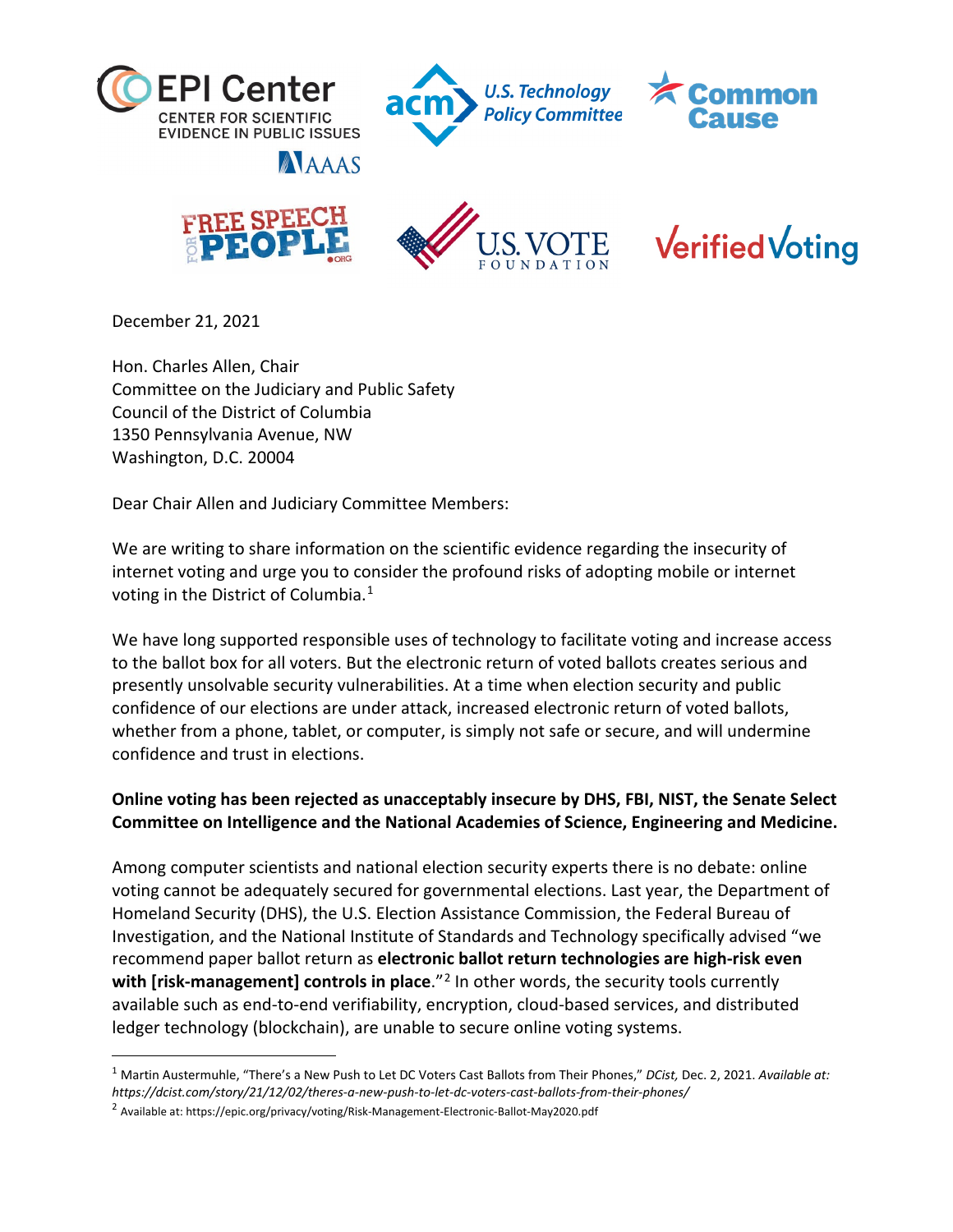







**AAAAS** 



**Verified Voting** 

December 21, 2021

Hon. Charles Allen, Chair Committee on the Judiciary and Public Safety Council of the District of Columbia 1350 Pennsylvania Avenue, NW Washington, D.C. 20004

Dear Chair Allen and Judiciary Committee Members:

We are writing to share information on the scientific evidence regarding the insecurity of internet voting and urge you to consider the profound risks of adopting mobile or internet voting in the District of Columbia.<sup>[1](#page-0-0)</sup>

We have long supported responsible uses of technology to facilitate voting and increase access to the ballot box for all voters. But the electronic return of voted ballots creates serious and presently unsolvable security vulnerabilities. At a time when election security and public confidence of our elections are under attack, increased electronic return of voted ballots, whether from a phone, tablet, or computer, is simply not safe or secure, and will undermine confidence and trust in elections.

## **Online voting has been rejected as unacceptably insecure by DHS, FBI, NIST, the Senate Select Committee on Intelligence and the National Academies of Science, Engineering and Medicine.**

Among computer scientists and national election security experts there is no debate: online voting cannot be adequately secured for governmental elections. Last year, the Department of Homeland Security (DHS), the U.S. Election Assistance Commission, the Federal Bureau of Investigation, and the National Institute of Standards and Technology specifically advised "we recommend paper ballot return as **electronic ballot return technologies are high-risk even**  with [risk-management] controls in place.<sup>"[2](#page-0-1)</sup> In other words, the security tools currently available such as end-to-end verifiability, encryption, cloud-based services, and distributed ledger technology (blockchain), are unable to secure online voting systems.

<span id="page-0-0"></span><sup>1</sup> Martin Austermuhle, "There's a New Push to Let DC Voters Cast Ballots from Their Phones," *DCist,* Dec. 2, 2021. *Available at: https://dcist.com/story/21/12/02/theres-a-new-push-to-let-dc-voters-cast-ballots-from-their-phones/*

<span id="page-0-1"></span><sup>2</sup> Available at: https://epic.org/privacy/voting/Risk-Management-Electronic-Ballot-May2020.pdf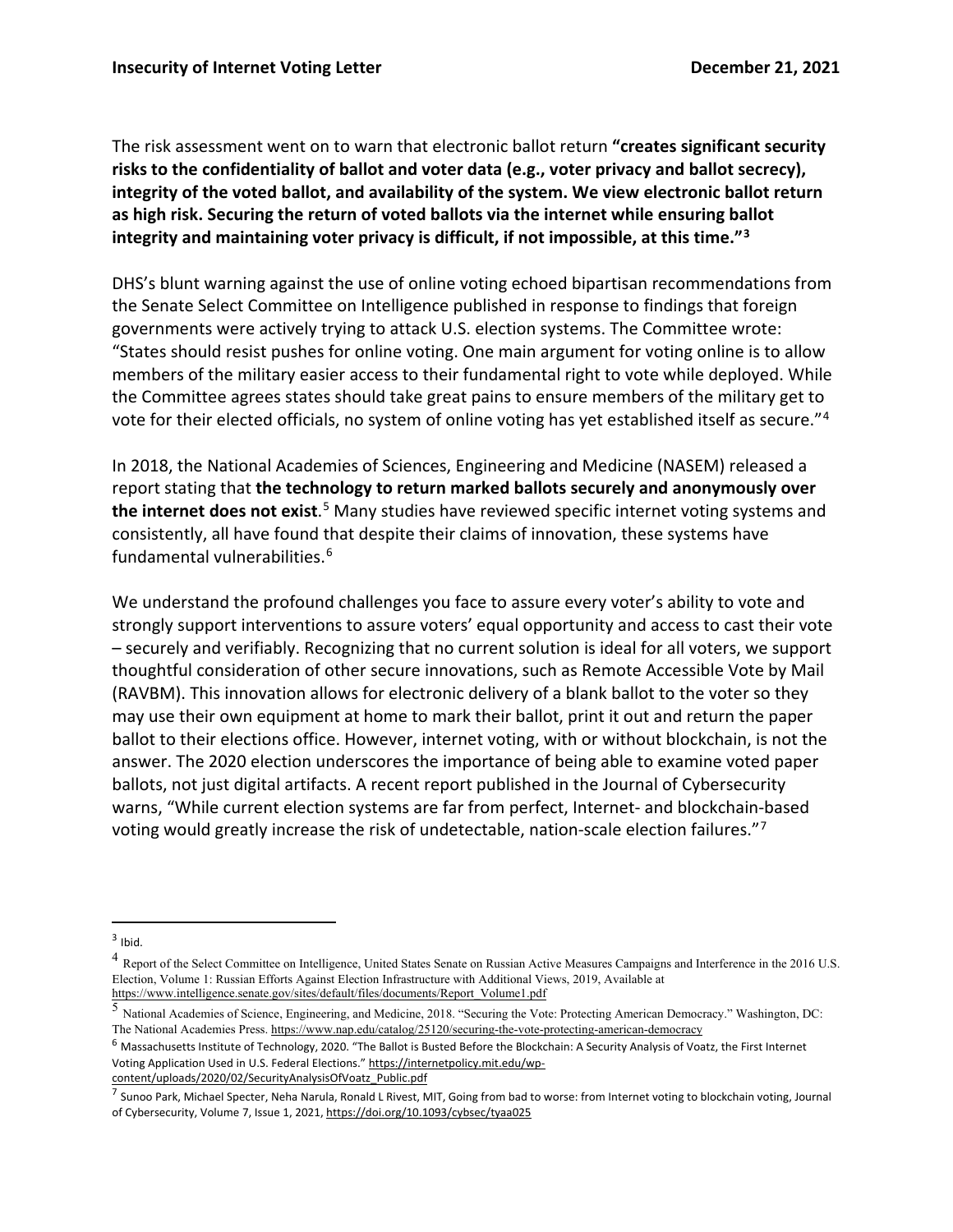The risk assessment went on to warn that electronic ballot return **"creates significant security risks to the confidentiality of ballot and voter data (e.g., voter privacy and ballot secrecy), integrity of the voted ballot, and availability of the system. We view electronic ballot return as high risk. Securing the return of voted ballots via the internet while ensuring ballot integrity and maintaining voter privacy is difficult, if not impossible, at this time."[3](#page-1-0)** 

DHS's blunt warning against the use of online voting echoed bipartisan recommendations from the Senate Select Committee on Intelligence published in response to findings that foreign governments were actively trying to attack U.S. election systems. The Committee wrote: "States should resist pushes for online voting. One main argument for voting online is to allow members of the military easier access to their fundamental right to vote while deployed. While the Committee agrees states should take great pains to ensure members of the military get to vote for their elected officials, no system of online voting has yet established itself as secure."[4](#page-1-1)

In 2018, the National Academies of Sciences, Engineering and Medicine (NASEM) released a report stating that **the technology to return marked ballots securely and anonymously over the internet does not exist**. [5](#page-1-2) Many studies have reviewed specific internet voting systems and consistently, all have found that despite their claims of innovation, these systems have fundamental vulnerabilities.<sup>[6](#page-1-3)</sup>

We understand the profound challenges you face to assure every voter's ability to vote and strongly support interventions to assure voters' equal opportunity and access to cast their vote – securely and verifiably. Recognizing that no current solution is ideal for all voters, we support thoughtful consideration of other secure innovations, such as Remote Accessible Vote by Mail (RAVBM). This innovation allows for electronic delivery of a blank ballot to the voter so they may use their own equipment at home to mark their ballot, print it out and return the paper ballot to their elections office. However, internet voting, with or without blockchain, is not the answer. The 2020 election underscores the importance of being able to examine voted paper ballots, not just digital artifacts. A recent report published in the Journal of Cybersecurity warns, "While current election systems are far from perfect, Internet- and blockchain-based voting would greatly increase the risk of undetectable, nation-scale election failures."[7](#page-1-4)

[content/uploads/2020/02/SecurityAnalysisOfVoatz\\_Public.pdf](https://internetpolicy.mit.edu/wp-content/uploads/2020/02/SecurityAnalysisOfVoatz_Public.pdf)

<span id="page-1-0"></span> $3$  Ibid.

<span id="page-1-1"></span><sup>&</sup>lt;sup>4</sup> Report of the Select Committee on Intelligence, United States Senate on Russian Active Measures Campaigns and Interference in the 2016 U.S. Election, Volume 1: Russian Efforts Against Election Infrastructure with Additional Views, 2019, Available at [https://www.intelligence.senate.gov/sites/default/files/documents/Report\\_Volume1.pdf](https://www.intelligence.senate.gov/sites/default/files/documents/Report_Volume1.pdf)

<span id="page-1-2"></span><sup>5</sup> National Academies of Science, Engineering, and Medicine, 2018. "Securing the Vote: Protecting American Democracy." Washington, DC: The National Academies Press[. https://www.nap.edu/catalog/25120/securing-the-vote-protecting-american-democracy](https://www.nap.edu/catalog/25120/securing-the-vote-protecting-american-democracy)

<span id="page-1-3"></span><sup>6</sup> Massachusetts Institute of Technology, 2020. "The Ballot is Busted Before the Blockchain: A Security Analysis of Voatz, the First Internet Voting Application Used in U.S. Federal Elections.[" https://internetpolicy.mit.edu/wp-](https://internetpolicy.mit.edu/wp-content/uploads/2020/02/SecurityAnalysisOfVoatz_Public.pdf)

<span id="page-1-4"></span> $^7$  Sunoo Park, Michael Specter, Neha Narula, Ronald L Rivest, MIT, Going from bad to worse: from Internet voting to blockchain voting, Journal of Cybersecurity, Volume 7, Issue 1, 2021[, https://doi.org/10.1093/cybsec/tyaa025](https://doi.org/10.1093/cybsec/tyaa025)